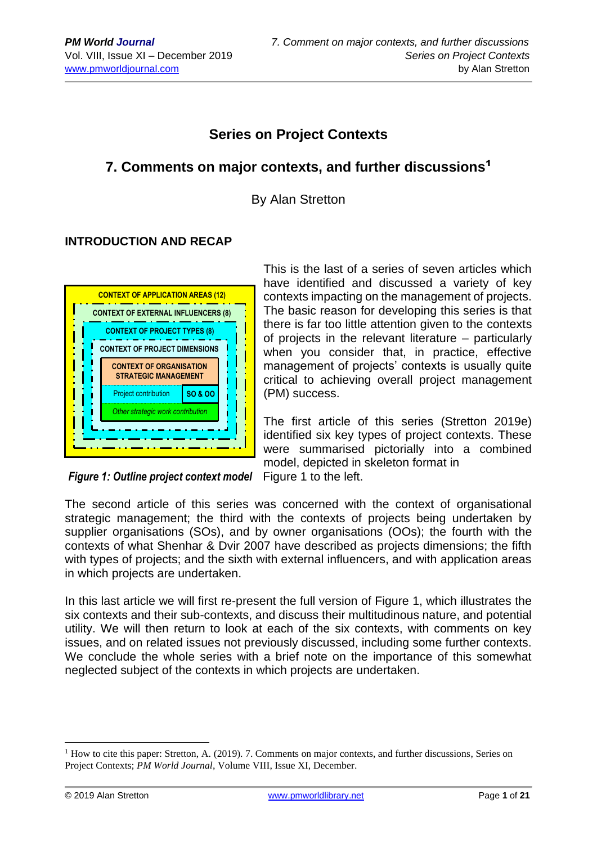## **Series on Project Contexts**

## **7. Comments on major contexts, and further discussions**<sup>1</sup>

By Alan Stretton

## **INTRODUCTION AND RECAP**



This is the last of a series of seven articles which have identified and discussed a variety of key contexts impacting on the management of projects. The basic reason for developing this series is that there is far too little attention given to the contexts of projects in the relevant literature – particularly when you consider that, in practice, effective management of projects' contexts is usually quite critical to achieving overall project management (PM) success.

The first article of this series (Stretton 2019e) identified six key types of project contexts. These were summarised pictorially into a combined model, depicted in skeleton format in

*Figure 1: Outline project context model* Figure 1 to the left.

The second article of this series was concerned with the context of organisational strategic management; the third with the contexts of projects being undertaken by supplier organisations (SOs), and by owner organisations (OOs); the fourth with the contexts of what Shenhar & Dvir 2007 have described as projects dimensions; the fifth with types of projects; and the sixth with external influencers, and with application areas  in which projects are undertaken. 

In this last article we will first re-present the full version of Figure 1, which illustrates the six contexts and their sub-contexts, and discuss their multitudinous nature, and potential utility. We will then return to look at each of the six contexts, with comments on key  issues, and on related issues not previously discussed, including some further contexts. We conclude the whole series with a brief note on the importance of this somewhat neglected subject of the contexts in which projects are undertaken.

<sup>&</sup>lt;sup>1</sup> How to cite this paper: Stretton, A. (2019). 7. Comments on major contexts, and further discussions, Series on Project Contexts; *PM World Journal*, Volume VIII, Issue XI, December.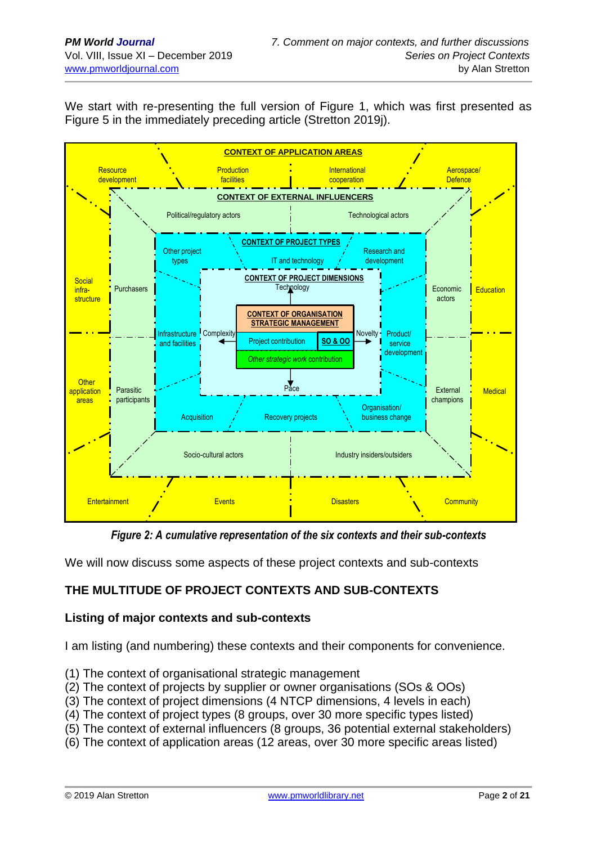We start with re-presenting the full version of Figure 1, which was first presented as Figure 5 in the immediately preceding article (Stretton 2019j).



*Figure 2: A cumulative representation of the six contexts and their sub-contexts* 

We will now discuss some aspects of these project contexts and sub-contexts **c**

## **THE MULTITUDE OF PROJECT CONTEXTS AND SUB-CONTEXTS**

## **Listing of major contexts and sub-contexts**

I am listing (and numbering) these contexts and their components for convenience.

- (1) The context of organisational strategic management
- (2) The context of projects by supplier or owner organisations (SOs & OOs)
- (3) The context of project dimensions (4 NTCP dimensions, 4 levels in each)
- (4) The context of project types (8 groups, over 30 more specific types listed)
- (5) The context of external influencers (8 groups, 36 potential external stakeholders)
- (6) The context of application areas (12 areas, over 30 more specific areas listed)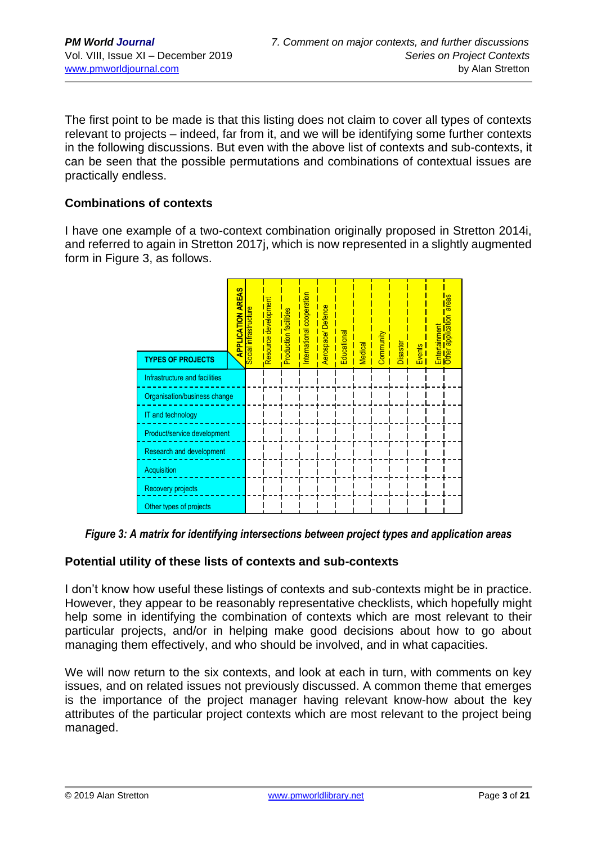The first point to be made is that this listing does not claim to cover all types of contexts relevant to projects – indeed, far from it, and we will be identifying some further contexts in the following discussions. But even with the above list of contexts and sub-contexts, it can be seen that the possible permutations and combinations of contextual issues are practically endless.

### **Combinations of contexts**

I have one example of a two-context combination originally proposed in Stretton 2014i, and referred to again in Stretton 2017j, which is now represented in a slightly augmented form in Figure 3, as follows.

|                                 | <b>APPLICATION AREAS</b> | Social infrastructure | Resource development | Production facilities | International cooperation | Aerospace/Defence | Educational | <b>Medical</b> | Community | Disaster | Events | <b>Entertainment</b> | areas<br>Other application |
|---------------------------------|--------------------------|-----------------------|----------------------|-----------------------|---------------------------|-------------------|-------------|----------------|-----------|----------|--------|----------------------|----------------------------|
| <b>TYPES OF PROJECTS</b>        |                          |                       |                      |                       |                           |                   |             |                |           |          |        |                      |                            |
| Infrastructure and facilities   |                          |                       |                      |                       |                           |                   |             |                |           |          |        |                      |                            |
| Organisation/business change    |                          |                       |                      |                       |                           |                   |             |                |           |          |        |                      |                            |
| IT and technology               |                          |                       |                      |                       |                           |                   |             |                |           |          |        |                      |                            |
| Product/service development     |                          |                       |                      |                       |                           |                   |             |                |           |          |        |                      |                            |
| <b>Research and development</b> |                          |                       |                      |                       |                           |                   |             |                |           |          |        |                      |                            |
| Acquisition                     |                          |                       |                      |                       |                           |                   |             |                |           |          |        |                      |                            |
| <b>Recovery projects</b>        |                          |                       |                      |                       |                           |                   |             |                |           |          |        |                      |                            |
| Other types of projects         |                          |                       |                      |                       |                           |                   |             |                |           |          |        |                      |                            |

*Figure 3: A matrix for identifying intersections between project types and application areas* Acquisition

# Potential utility of these lists of contexts and sub-contexts

I don't know how useful these listings of contexts and sub-contexts might be in practice. However, they appear to be reasonably representative checklists, which hopefully might help some in identifying the combination of contexts which are most relevant to their particular projects, and/or in helping make good decisions about how to go about managing them effectively, and who should be involved, and in what capacities.

We will now return to the six contexts, and look at each in turn, with comments on key issues, and on related issues not previously discussed. A common theme that emerges is the importance of the project manager having relevant know-how about the key attributes of the particular project contexts which are most relevant to the project being managed.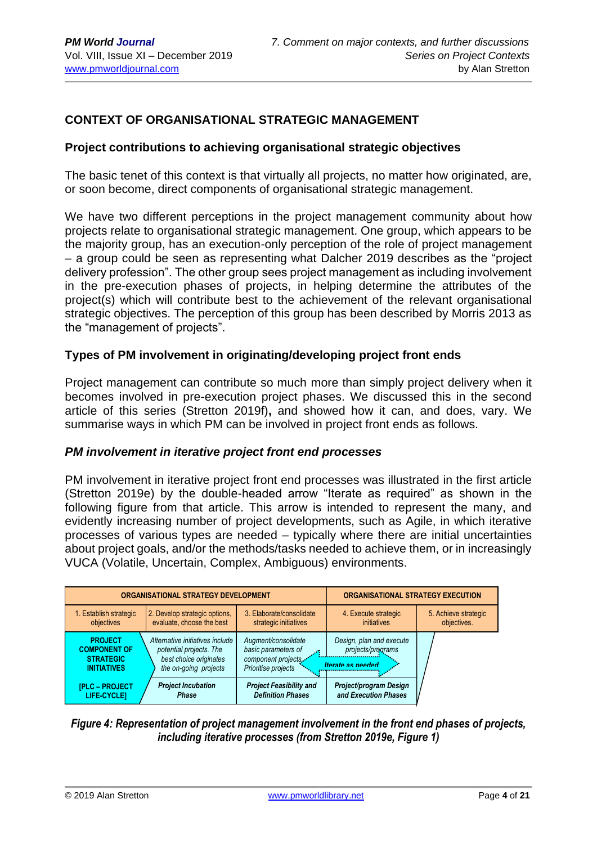## **CONTEXT OF ORGANISATIONAL STRATEGIC MANAGEMENT**

#### **Project contributions to achieving organisational strategic objectives**

The basic tenet of this context is that virtually all projects, no matter how originated, are, or soon become, direct components of organisational strategic management.

We have two different perceptions in the project management community about how projects relate to organisational strategic management. One group, which appears to be the majority group, has an execution-only perception of the role of project management – a group could be seen as representing what Dalcher 2019 describes as the "project delivery profession". The other group sees project management as including involvement in the pre-execution phases of projects, in helping determine the attributes of the project(s) which will contribute best to the achievement of the relevant organisational strategic objectives. The perception of this group has been described by Morris 2013 as the "management of projects".

#### **Types of PM involvement in originating/developing project front ends**

Project management can contribute so much more than simply project delivery when it becomes involved in pre-execution project phases. We discussed this in the second article of this series (Stretton 2019f)**,** and showed how it can, and does, vary. We summarise ways in which PM can be involved in project front ends as follows.

#### *PM involvement in iterative project front end processes*

PM involvement in iterative project front end processes was illustrated in the first article (Stretton 2019e) by the double-headed arrow "Iterate as required" as shown in the following figure from that article. This arrow is intended to represent the many, and evidently increasing number of project developments, such as Agile, in which iterative processes of various types are needed – typically where there are initial uncertainties about project goals, and/or the methods/tasks needed to achieve them, or in increasingly VUCA (Volatile, Uncertain, Complex, Ambiguous) environments.



#### *Figure 4: Representation of project management involvement in the front end phases of projects, including iterative processes (from Stretton 2019e, Figure 1)*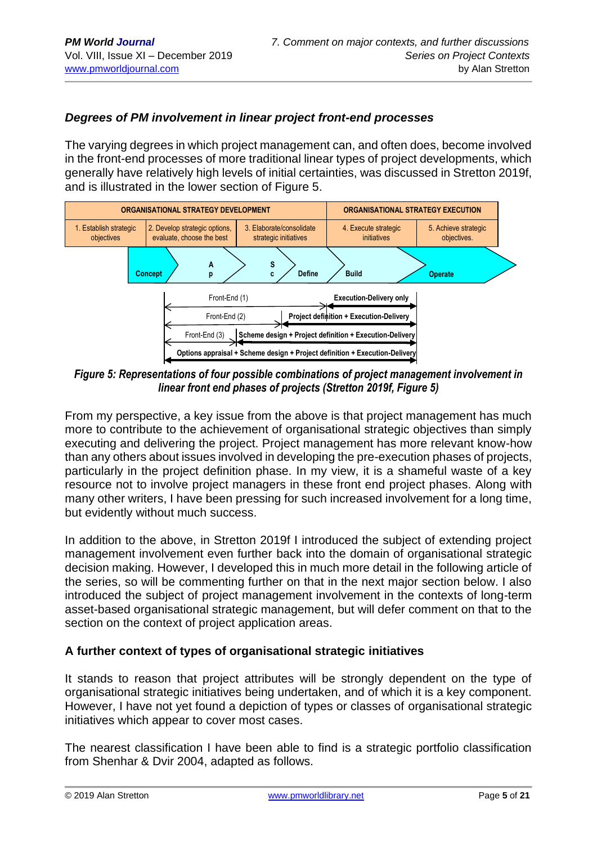### *Degrees of PM involvement in linear project front-end processes*

The varying degrees in which project management can, and often does, become involved in the front-end processes of more traditional linear types of project developments, which generally have relatively high levels of initial certainties, was discussed in Stretton 2019f, and is illustrated in the lower section of Figure 5.



*Figure 5: Representations of four possible combinations of project management involvement in*  **n** *linear front end phases of projects (Stretton 2019f, Figure 5)*

From my perspective, a key issue from the above is that project management has much more to contribute to the achievement of organisational strategic objectives than simply executing and delivering the project. Project management has more relevant know-how than any others about issues involved in developing the pre-execution phases of projects, particularly in the project definition phase. In my view, it is a shameful waste of a key resource not to involve project managers in these front end project phases. Along with many other writers, I have been pressing for such increased involvement for a long time, but evidently without much success.

In addition to the above, in Stretton 2019f I introduced the subject of extending project management involvement even further back into the domain of organisational strategic decision making. However, I developed this in much more detail in the following article of the series, so will be commenting further on that in the next major section below. I also introduced the subject of project management involvement in the contexts of long-term asset-based organisational strategic management, but will defer comment on that to the section on the context of project application areas.

#### **A further context of types of organisational strategic initiatives**

It stands to reason that project attributes will be strongly dependent on the type of organisational strategic initiatives being undertaken, and of which it is a key component. However, I have not yet found a depiction of types or classes of organisational strategic initiatives which appear to cover most cases.

The nearest classification I have been able to find is a strategic portfolio classification from Shenhar & Dvir 2004, adapted as follows.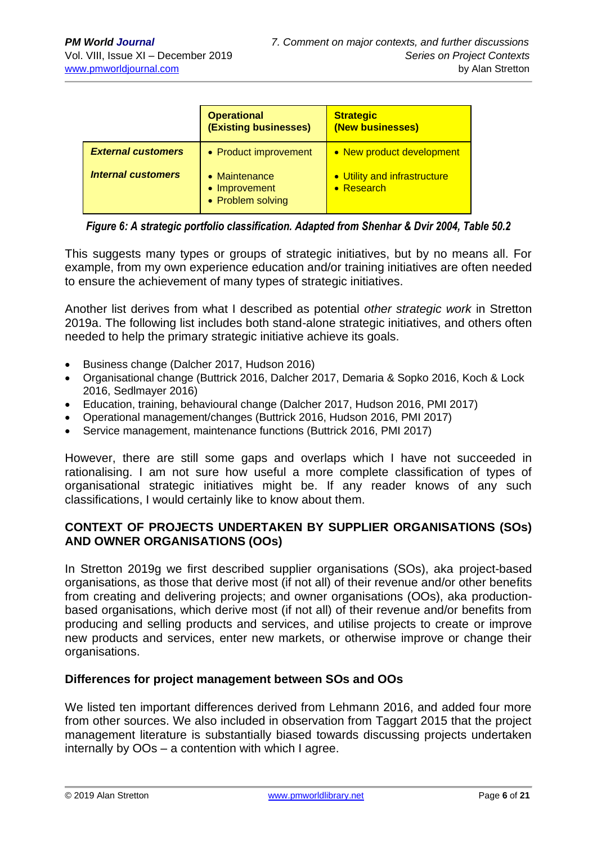|                           | <b>Operational</b><br>(Existing businesses)                 | <b>Strategic</b><br>(New businesses)               |
|---------------------------|-------------------------------------------------------------|----------------------------------------------------|
| <b>External customers</b> | • Product improvement                                       | • New product development                          |
| <b>Internal customers</b> | $\bullet$ Maintenance<br>• Improvement<br>• Problem solving | • Utility and infrastructure<br>$\bullet$ Research |

*Figure 6: A strategic portfolio classification. Adapted from Shenhar & Dvir 2004, Table 50.2*

This suggests many types or groups of strategic initiatives, but by no means all. For example, from my own experience education and/or training initiatives are often needed to ensure the achievement of many types of strategic initiatives.

Another list derives from what I described as potential *other strategic work* in Stretton 2019a. The following list includes both stand-alone strategic initiatives, and others often needed to help the primary strategic initiative achieve its goals.

- Business change (Dalcher 2017, Hudson 2016)
- Organisational change (Buttrick 2016, Dalcher 2017, Demaria & Sopko 2016, Koch & Lock 2016, Sedlmayer 2016)
- Education, training, behavioural change (Dalcher 2017, Hudson 2016, PMI 2017)
- Operational management/changes (Buttrick 2016, Hudson 2016, PMI 2017)
- Service management, maintenance functions (Buttrick 2016, PMI 2017)

However, there are still some gaps and overlaps which I have not succeeded in rationalising. I am not sure how useful a more complete classification of types of organisational strategic initiatives might be. If any reader knows of any such classifications, I would certainly like to know about them.

### **CONTEXT OF PROJECTS UNDERTAKEN BY SUPPLIER ORGANISATIONS (SOs) AND OWNER ORGANISATIONS (OOs)**

In Stretton 2019g we first described supplier organisations (SOs), aka project-based organisations, as those that derive most (if not all) of their revenue and/or other benefits from creating and delivering projects; and owner organisations (OOs), aka productionbased organisations, which derive most (if not all) of their revenue and/or benefits from producing and selling products and services, and utilise projects to create or improve new products and services, enter new markets, or otherwise improve or change their organisations.

#### **Differences for project management between SOs and OOs**

We listed ten important differences derived from Lehmann 2016, and added four more from other sources. We also included in observation from Taggart 2015 that the project management literature is substantially biased towards discussing projects undertaken internally by OOs – a contention with which I agree.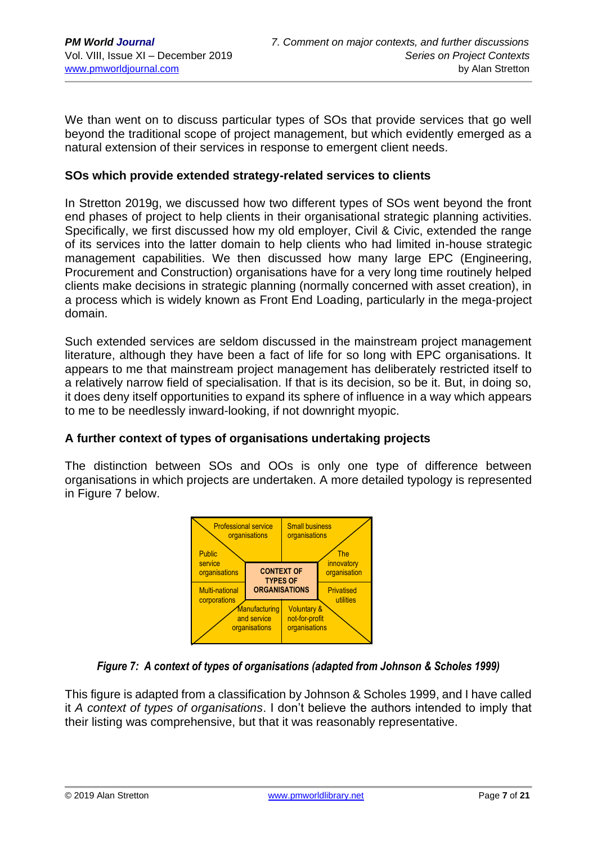We than went on to discuss particular types of SOs that provide services that go well beyond the traditional scope of project management, but which evidently emerged as a natural extension of their services in response to emergent client needs.

#### **SOs which provide extended strategy-related services to clients**

In Stretton 2019g, we discussed how two different types of SOs went beyond the front end phases of project to help clients in their organisational strategic planning activities. Specifically, we first discussed how my old employer, Civil & Civic, extended the range of its services into the latter domain to help clients who had limited in-house strategic management capabilities. We then discussed how many large EPC (Engineering, Procurement and Construction) organisations have for a very long time routinely helped clients make decisions in strategic planning (normally concerned with asset creation), in a process which is widely known as Front End Loading, particularly in the mega-project domain.

Such extended services are seldom discussed in the mainstream project management literature, although they have been a fact of life for so long with EPC organisations. It appears to me that mainstream project management has deliberately restricted itself to a relatively narrow field of specialisation. If that is its decision, so be it. But, in doing so, it does deny itself opportunities to expand its sphere of influence in a way which appears to me to be needlessly inward-looking, if not downright myopic.

#### **A further context of types of organisations undertaking projects**

The distinction between SOs and OOs is only one type of difference between organisations in which projects are undertaken. A more detailed typology is represented in Figure 7 below.



#### *Figure 7: A context of types of organisations (adapted from Johnson & Scholes 1999)*

This figure is adapted from a classification by Johnson & Scholes 1999, and I have called it *A context of types of organisations*. I don't believe the authors intended to imply that their listing was comprehensive, but that it was reasonably representative.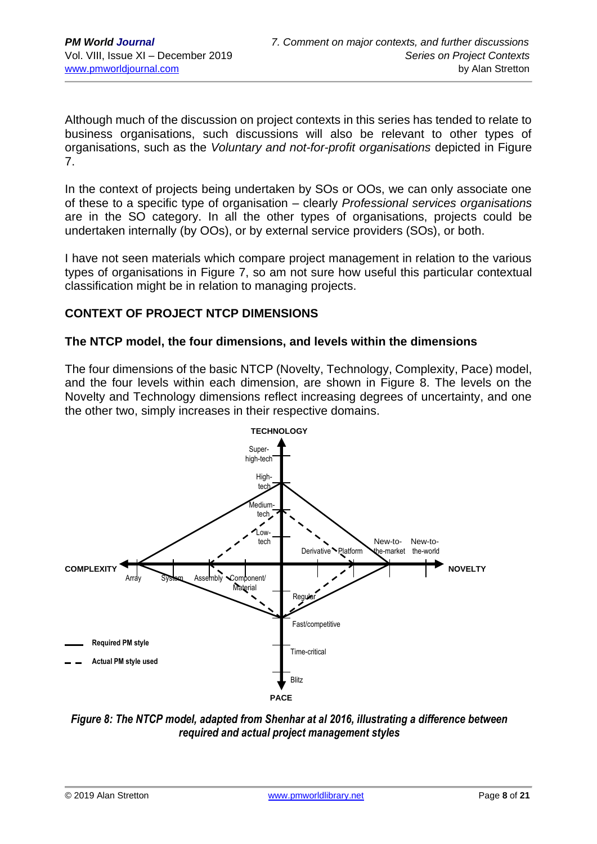Although much of the discussion on project contexts in this series has tended to relate to business organisations, such discussions will also be relevant to other types of organisations, such as the *Voluntary and not-for-profit organisations* depicted in Figure 7.

In the context of projects being undertaken by SOs or OOs, we can only associate one of these to a specific type of organisation – clearly *Professional services organisations* are in the SO category. In all the other types of organisations, projects could be undertaken internally (by OOs), or by external service providers (SOs), or both.

I have not seen materials which compare project management in relation to the various types of organisations in Figure 7, so am not sure how useful this particular contextual classification might be in relation to managing projects.

### **CONTEXT OF PROJECT NTCP DIMENSIONS**

#### **The NTCP model, the four dimensions, and levels within the dimensions**

The four dimensions of the basic NTCP (Novelty, Technology, Complexity, Pace) model, and the four levels within each dimension, are shown in Figure 8. The levels on the Novelty and Technology dimensions reflect increasing degrees of uncertainty, and one the other two, simply increases in their respective domains.



*Figure 8: The NTCP model, adapted from Shenhar at al 2016, illustrating a difference between required and actual project management styles*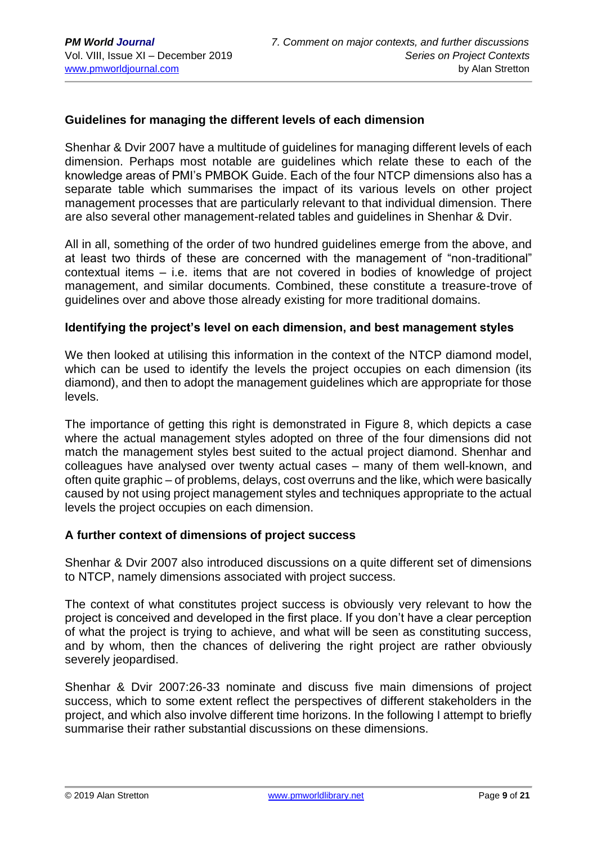#### **Guidelines for managing the different levels of each dimension**

Shenhar & Dvir 2007 have a multitude of guidelines for managing different levels of each dimension. Perhaps most notable are guidelines which relate these to each of the knowledge areas of PMI's PMBOK Guide. Each of the four NTCP dimensions also has a separate table which summarises the impact of its various levels on other project management processes that are particularly relevant to that individual dimension. There are also several other management-related tables and guidelines in Shenhar & Dvir.

All in all, something of the order of two hundred guidelines emerge from the above, and at least two thirds of these are concerned with the management of "non-traditional" contextual items – i.e. items that are not covered in bodies of knowledge of project management, and similar documents. Combined, these constitute a treasure-trove of guidelines over and above those already existing for more traditional domains.

#### **Identifying the project's level on each dimension, and best management styles**

We then looked at utilising this information in the context of the NTCP diamond model, which can be used to identify the levels the project occupies on each dimension (its diamond), and then to adopt the management guidelines which are appropriate for those levels.

The importance of getting this right is demonstrated in Figure 8, which depicts a case where the actual management styles adopted on three of the four dimensions did not match the management styles best suited to the actual project diamond. Shenhar and colleagues have analysed over twenty actual cases – many of them well-known, and often quite graphic – of problems, delays, cost overruns and the like, which were basically caused by not using project management styles and techniques appropriate to the actual levels the project occupies on each dimension.

#### **A further context of dimensions of project success**

Shenhar & Dvir 2007 also introduced discussions on a quite different set of dimensions to NTCP, namely dimensions associated with project success.

The context of what constitutes project success is obviously very relevant to how the project is conceived and developed in the first place. If you don't have a clear perception of what the project is trying to achieve, and what will be seen as constituting success, and by whom, then the chances of delivering the right project are rather obviously severely jeopardised.

Shenhar & Dvir 2007:26-33 nominate and discuss five main dimensions of project success, which to some extent reflect the perspectives of different stakeholders in the project, and which also involve different time horizons. In the following I attempt to briefly summarise their rather substantial discussions on these dimensions.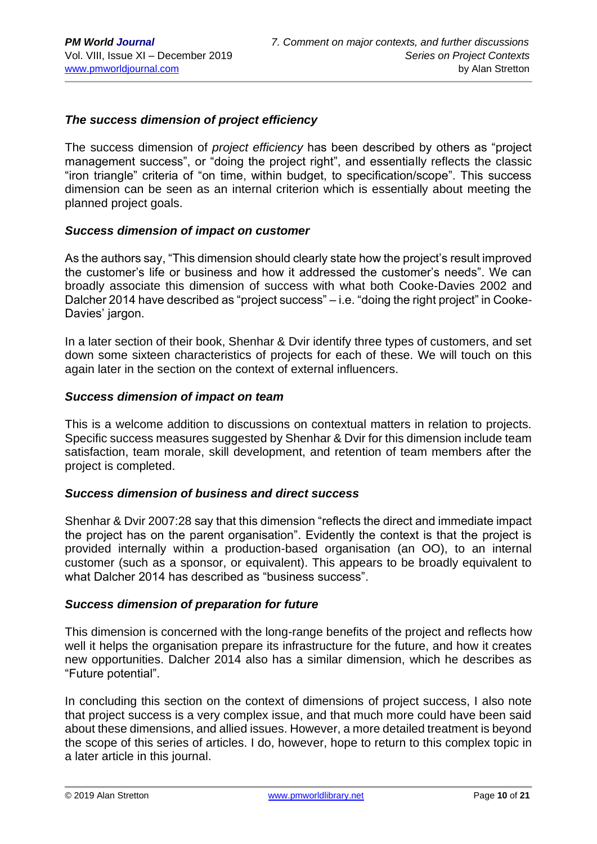#### *The success dimension of project efficiency*

The success dimension of *project efficiency* has been described by others as "project management success", or "doing the project right", and essentially reflects the classic "iron triangle" criteria of "on time, within budget, to specification/scope". This success dimension can be seen as an internal criterion which is essentially about meeting the planned project goals.

#### *Success dimension of impact on customer*

As the authors say, "This dimension should clearly state how the project's result improved the customer's life or business and how it addressed the customer's needs". We can broadly associate this dimension of success with what both Cooke-Davies 2002 and Dalcher 2014 have described as "project success" – i.e. "doing the right project" in Cooke-Davies' jargon.

In a later section of their book, Shenhar & Dvir identify three types of customers, and set down some sixteen characteristics of projects for each of these. We will touch on this again later in the section on the context of external influencers.

#### *Success dimension of impact on team*

This is a welcome addition to discussions on contextual matters in relation to projects. Specific success measures suggested by Shenhar & Dvir for this dimension include team satisfaction, team morale, skill development, and retention of team members after the project is completed.

#### *Success dimension of business and direct success*

Shenhar & Dvir 2007:28 say that this dimension "reflects the direct and immediate impact the project has on the parent organisation". Evidently the context is that the project is provided internally within a production-based organisation (an OO), to an internal customer (such as a sponsor, or equivalent). This appears to be broadly equivalent to what Dalcher 2014 has described as "business success".

#### *Success dimension of preparation for future*

This dimension is concerned with the long-range benefits of the project and reflects how well it helps the organisation prepare its infrastructure for the future, and how it creates new opportunities. Dalcher 2014 also has a similar dimension, which he describes as "Future potential".

In concluding this section on the context of dimensions of project success, I also note that project success is a very complex issue, and that much more could have been said about these dimensions, and allied issues. However, a more detailed treatment is beyond the scope of this series of articles. I do, however, hope to return to this complex topic in a later article in this journal.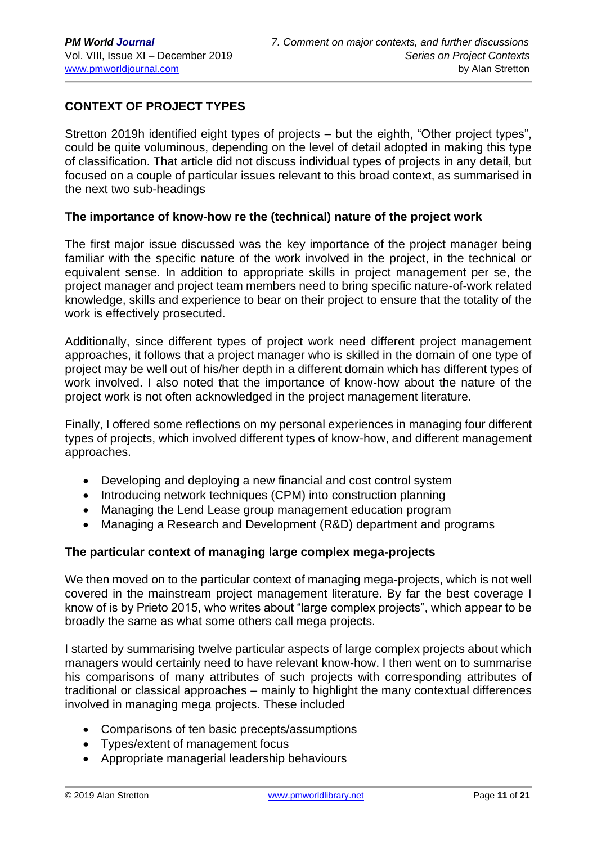## **CONTEXT OF PROJECT TYPES**

Stretton 2019h identified eight types of projects – but the eighth, "Other project types", could be quite voluminous, depending on the level of detail adopted in making this type of classification. That article did not discuss individual types of projects in any detail, but focused on a couple of particular issues relevant to this broad context, as summarised in the next two sub-headings

#### **The importance of know-how re the (technical) nature of the project work**

The first major issue discussed was the key importance of the project manager being familiar with the specific nature of the work involved in the project, in the technical or equivalent sense. In addition to appropriate skills in project management per se, the project manager and project team members need to bring specific nature-of-work related knowledge, skills and experience to bear on their project to ensure that the totality of the work is effectively prosecuted.

Additionally, since different types of project work need different project management approaches, it follows that a project manager who is skilled in the domain of one type of project may be well out of his/her depth in a different domain which has different types of work involved. I also noted that the importance of know-how about the nature of the project work is not often acknowledged in the project management literature.

Finally, I offered some reflections on my personal experiences in managing four different types of projects, which involved different types of know-how, and different management approaches.

- Developing and deploying a new financial and cost control system
- Introducing network techniques (CPM) into construction planning
- Managing the Lend Lease group management education program
- Managing a Research and Development (R&D) department and programs

#### **The particular context of managing large complex mega-projects**

We then moved on to the particular context of managing mega-projects, which is not well covered in the mainstream project management literature. By far the best coverage I know of is by Prieto 2015, who writes about "large complex projects", which appear to be broadly the same as what some others call mega projects.

I started by summarising twelve particular aspects of large complex projects about which managers would certainly need to have relevant know-how. I then went on to summarise his comparisons of many attributes of such projects with corresponding attributes of traditional or classical approaches – mainly to highlight the many contextual differences involved in managing mega projects. These included

- Comparisons of ten basic precepts/assumptions
- Types/extent of management focus
- Appropriate managerial leadership behaviours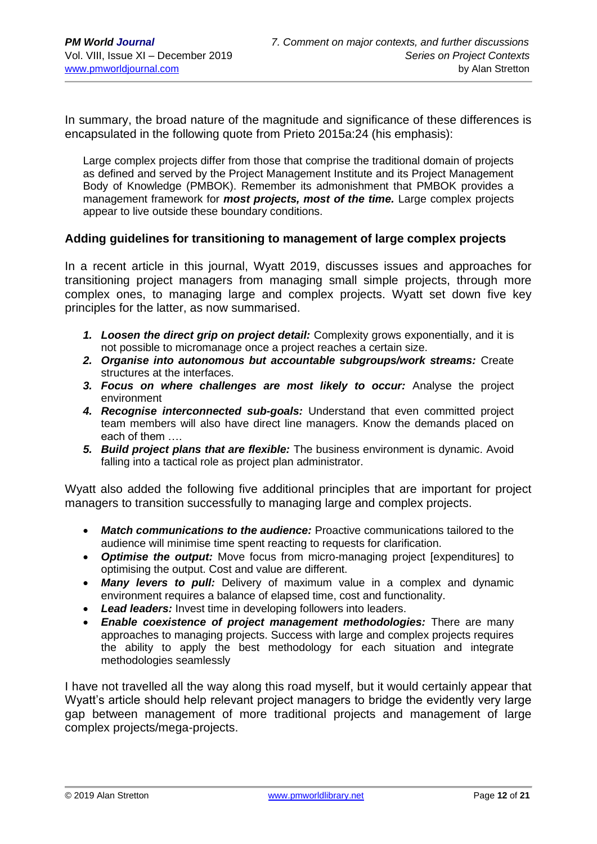In summary, the broad nature of the magnitude and significance of these differences is encapsulated in the following quote from Prieto 2015a:24 (his emphasis):

Large complex projects differ from those that comprise the traditional domain of projects as defined and served by the Project Management Institute and its Project Management Body of Knowledge (PMBOK). Remember its admonishment that PMBOK provides a management framework for *most projects, most of the time.* Large complex projects appear to live outside these boundary conditions.

#### **Adding guidelines for transitioning to management of large complex projects**

In a recent article in this journal, Wyatt 2019, discusses issues and approaches for transitioning project managers from managing small simple projects, through more complex ones, to managing large and complex projects. Wyatt set down five key principles for the latter, as now summarised.

- *1. Loosen the direct grip on project detail:* Complexity grows exponentially, and it is not possible to micromanage once a project reaches a certain size.
- *2. Organise into autonomous but accountable subgroups/work streams:* Create structures at the interfaces.
- *3. Focus on where challenges are most likely to occur:* Analyse the project environment
- *4. Recognise interconnected sub-goals:* Understand that even committed project team members will also have direct line managers. Know the demands placed on each of them ….
- *5. Build project plans that are flexible:* The business environment is dynamic. Avoid falling into a tactical role as project plan administrator.

Wyatt also added the following five additional principles that are important for project managers to transition successfully to managing large and complex projects.

- *Match communications to the audience:* Proactive communications tailored to the audience will minimise time spent reacting to requests for clarification.
- *Optimise the output:* Move focus from micro-managing project [expenditures] to optimising the output. Cost and value are different.
- *Many levers to pull:* Delivery of maximum value in a complex and dynamic environment requires a balance of elapsed time, cost and functionality.
- *Lead leaders:* Invest time in developing followers into leaders.
- *Enable coexistence of project management methodologies:* There are many approaches to managing projects. Success with large and complex projects requires the ability to apply the best methodology for each situation and integrate methodologies seamlessly

I have not travelled all the way along this road myself, but it would certainly appear that Wyatt's article should help relevant project managers to bridge the evidently very large gap between management of more traditional projects and management of large complex projects/mega-projects.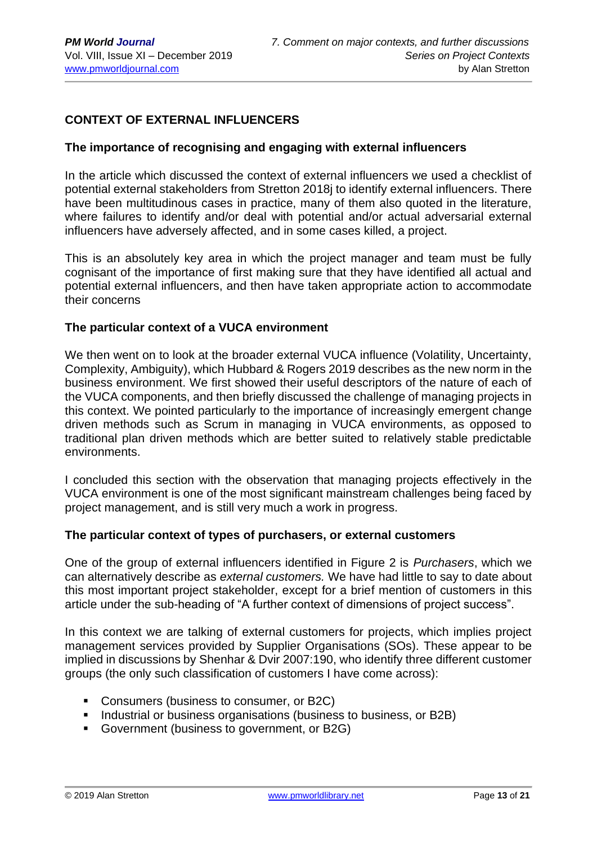## **CONTEXT OF EXTERNAL INFLUENCERS**

#### **The importance of recognising and engaging with external influencers**

In the article which discussed the context of external influencers we used a checklist of potential external stakeholders from Stretton 2018j to identify external influencers. There have been multitudinous cases in practice, many of them also quoted in the literature, where failures to identify and/or deal with potential and/or actual adversarial external influencers have adversely affected, and in some cases killed, a project.

This is an absolutely key area in which the project manager and team must be fully cognisant of the importance of first making sure that they have identified all actual and potential external influencers, and then have taken appropriate action to accommodate their concerns

#### **The particular context of a VUCA environment**

We then went on to look at the broader external VUCA influence (Volatility, Uncertainty, Complexity, Ambiguity), which Hubbard & Rogers 2019 describes as the new norm in the business environment. We first showed their useful descriptors of the nature of each of the VUCA components, and then briefly discussed the challenge of managing projects in this context. We pointed particularly to the importance of increasingly emergent change driven methods such as Scrum in managing in VUCA environments, as opposed to traditional plan driven methods which are better suited to relatively stable predictable environments.

I concluded this section with the observation that managing projects effectively in the VUCA environment is one of the most significant mainstream challenges being faced by project management, and is still very much a work in progress.

#### **The particular context of types of purchasers, or external customers**

One of the group of external influencers identified in Figure 2 is *Purchasers*, which we can alternatively describe as *external customers.* We have had little to say to date about this most important project stakeholder, except for a brief mention of customers in this article under the sub-heading of "A further context of dimensions of project success".

In this context we are talking of external customers for projects, which implies project management services provided by Supplier Organisations (SOs). These appear to be implied in discussions by Shenhar & Dvir 2007:190, who identify three different customer groups (the only such classification of customers I have come across):

- Consumers (business to consumer, or B2C)
- Industrial or business organisations (business to business, or B2B)
- Government (business to government, or B2G)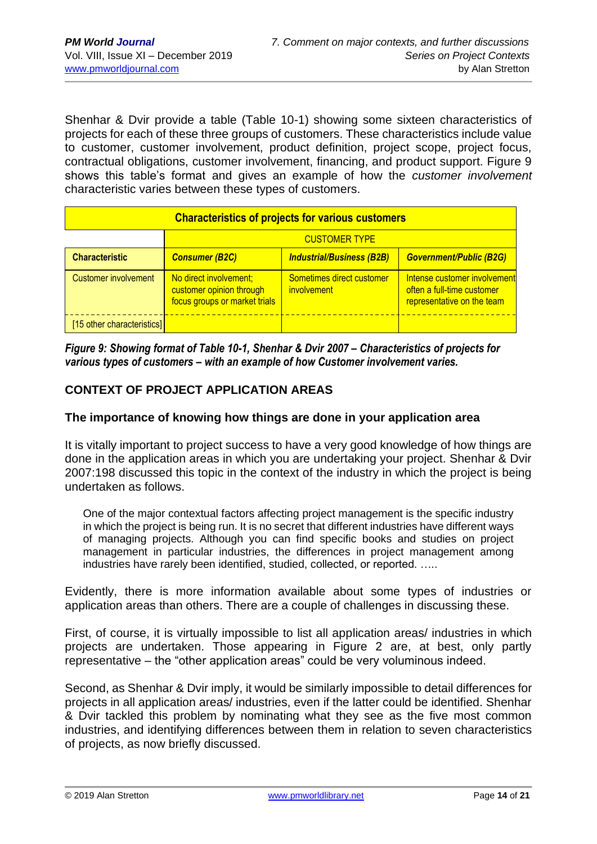Shenhar & Dvir provide a table (Table 10-1) showing some sixteen characteristics of projects for each of these three groups of customers. These characteristics include value to customer, customer involvement, product definition, project scope, project focus, contractual obligations, customer involvement, financing, and product support. Figure 9 shows this table's format and gives an example of how the *customer involvement* characteristic varies between these types of customers.

| <b>Characteristics of projects for various customers</b> |                                                                                     |                                          |                                                                                          |  |  |  |  |  |
|----------------------------------------------------------|-------------------------------------------------------------------------------------|------------------------------------------|------------------------------------------------------------------------------------------|--|--|--|--|--|
|                                                          | <b>CUSTOMER TYPE</b>                                                                |                                          |                                                                                          |  |  |  |  |  |
| <b>Characteristic</b>                                    | <b>Consumer (B2C)</b>                                                               | <b>Industrial/Business (B2B)</b>         | <b>Government/Public (B2G)</b>                                                           |  |  |  |  |  |
| <b>Customer involvement</b>                              | No direct involvement;<br>customer opinion through<br>focus groups or market trials | Sometimes direct customer<br>involvement | Intense customer involvement<br>often a full-time customer<br>representative on the team |  |  |  |  |  |
| [15 other characteristics]                               |                                                                                     |                                          |                                                                                          |  |  |  |  |  |

*Figure 9: Showing format of Table 10-1, Shenhar & Dvir 2007 – Characteristics of projects for various types of customers – with an example of how Customer involvement varies.*

## **CONTEXT OF PROJECT APPLICATION AREAS**

#### **The importance of knowing how things are done in your application area**

It is vitally important to project success to have a very good knowledge of how things are done in the application areas in which you are undertaking your project. Shenhar & Dvir 2007:198 discussed this topic in the context of the industry in which the project is being undertaken as follows.

One of the major contextual factors affecting project management is the specific industry in which the project is being run. It is no secret that different industries have different ways of managing projects. Although you can find specific books and studies on project management in particular industries, the differences in project management among industries have rarely been identified, studied, collected, or reported. …..

Evidently, there is more information available about some types of industries or application areas than others. There are a couple of challenges in discussing these.

First, of course, it is virtually impossible to list all application areas/ industries in which projects are undertaken. Those appearing in Figure 2 are, at best, only partly representative – the "other application areas" could be very voluminous indeed.

Second, as Shenhar & Dvir imply, it would be similarly impossible to detail differences for projects in all application areas/ industries, even if the latter could be identified. Shenhar & Dvir tackled this problem by nominating what they see as the five most common industries, and identifying differences between them in relation to seven characteristics of projects, as now briefly discussed.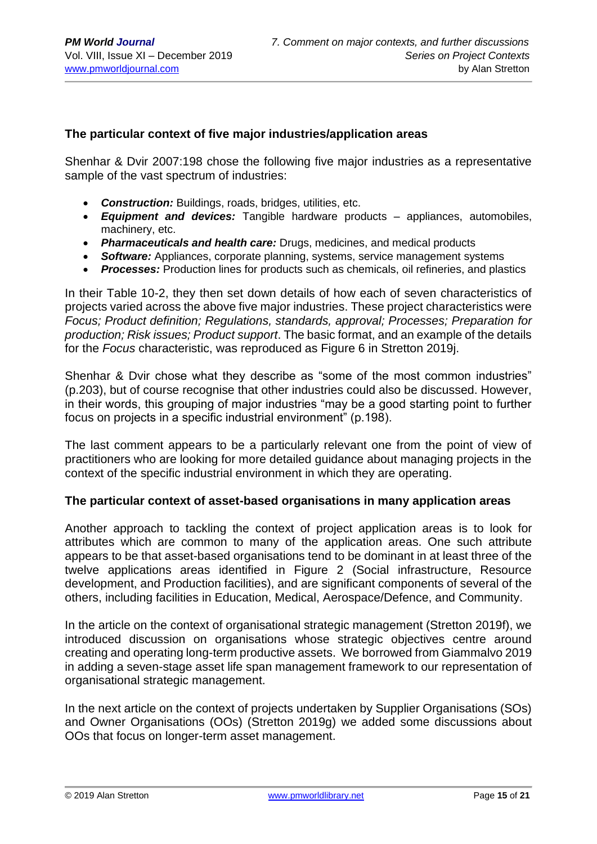#### **The particular context of five major industries/application areas**

Shenhar & Dvir 2007:198 chose the following five major industries as a representative sample of the vast spectrum of industries:

- *Construction:* Buildings, roads, bridges, utilities, etc.
- *Equipment and devices:* Tangible hardware products appliances, automobiles, machinery, etc.
- *Pharmaceuticals and health care:* Drugs, medicines, and medical products
- *Software:* Appliances, corporate planning, systems, service management systems
- *Processes:* Production lines for products such as chemicals, oil refineries, and plastics

In their Table 10-2, they then set down details of how each of seven characteristics of projects varied across the above five major industries. These project characteristics were *Focus; Product definition; Regulations, standards, approval; Processes; Preparation for production; Risk issues; Product support*. The basic format, and an example of the details for the *Focus* characteristic, was reproduced as Figure 6 in Stretton 2019j.

Shenhar & Dvir chose what they describe as "some of the most common industries" (p.203), but of course recognise that other industries could also be discussed. However, in their words, this grouping of major industries "may be a good starting point to further focus on projects in a specific industrial environment" (p.198).

The last comment appears to be a particularly relevant one from the point of view of practitioners who are looking for more detailed guidance about managing projects in the context of the specific industrial environment in which they are operating.

#### **The particular context of asset-based organisations in many application areas**

Another approach to tackling the context of project application areas is to look for attributes which are common to many of the application areas. One such attribute appears to be that asset-based organisations tend to be dominant in at least three of the twelve applications areas identified in Figure 2 (Social infrastructure, Resource development, and Production facilities), and are significant components of several of the others, including facilities in Education, Medical, Aerospace/Defence, and Community.

In the article on the context of organisational strategic management (Stretton 2019f), we introduced discussion on organisations whose strategic objectives centre around creating and operating long-term productive assets. We borrowed from Giammalvo 2019 in adding a seven-stage asset life span management framework to our representation of organisational strategic management.

In the next article on the context of projects undertaken by Supplier Organisations (SOs) and Owner Organisations (OOs) (Stretton 2019g) we added some discussions about OOs that focus on longer-term asset management.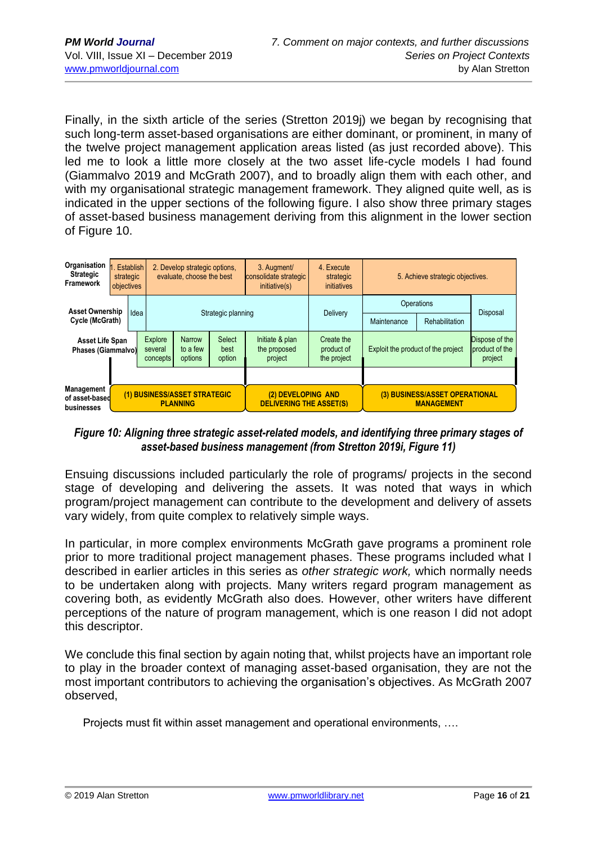Finally, in the sixth article of the series (Stretton 2019j) we began by recognising that such long-term asset-based organisations are either dominant, or prominent, in many of the twelve project management application areas listed (as just recorded above). This led me to look a little more closely at the two asset life-cycle models I had found (Giammalvo 2019 and McGrath 2007), and to broadly align them with each other, and with my organisational strategic management framework. They aligned quite well, as is indicated in the upper sections of the following figure. I also show three primary stages of asset-based business management deriving from this alignment in the lower section of Figure 10.

| Organisation<br><b>Strategic</b><br><b>Framework</b>                                                 | strategic<br>objectives | Establish                                                                                                                                        | 2. Develop strategic options.<br>evaluate, choose the best |                                                      |                                    | 3. Augment<br>consolidate strategic<br>initiative(s) | 4. Execute<br>strategic<br>initiatives      | 5. Achieve strategic objectives. |  |          |
|------------------------------------------------------------------------------------------------------|-------------------------|--------------------------------------------------------------------------------------------------------------------------------------------------|------------------------------------------------------------|------------------------------------------------------|------------------------------------|------------------------------------------------------|---------------------------------------------|----------------------------------|--|----------|
| <b>Asset Ownership</b>                                                                               |                         | Idea                                                                                                                                             | Strategic planning                                         |                                                      |                                    |                                                      | Delivery                                    | Operations                       |  | Disposal |
| Cycle (McGrath)                                                                                      |                         |                                                                                                                                                  |                                                            |                                                      |                                    |                                                      | Maintenance                                 | Rehabilitation                   |  |          |
| Asset Life Span<br>Phases (Giammalvo)                                                                |                         | <b>Select</b><br>Explore<br>Narrow<br>Initiate & plan<br>the proposed<br>to a few<br>several<br>best<br>options<br>option<br>project<br>concepts |                                                            | Create the<br>product of<br>the project              | Exploit the product of the project |                                                      | Dispose of the<br>product of the<br>project |                                  |  |          |
|                                                                                                      |                         |                                                                                                                                                  |                                                            |                                                      |                                    |                                                      |                                             |                                  |  |          |
| <b>Management</b><br>(1) BUSINESS/ASSET STRATEGIC<br>of asset-based<br><b>PLANNING</b><br>businesses |                         |                                                                                                                                                  |                                                            | (2) DEVELOPING AND<br><b>DELIVERING THE ASSET(S)</b> |                                    | (3) BUSINESS/ASSET OPERATIONAL<br><b>MANAGEMENT</b>  |                                             |                                  |  |          |

*Figure 10: Aligning three strategic asset-related models, and identifying three primary stages of asset-based business management (from Stretton 2019i, Figure 11)*

Ensuing discussions included particularly the role of programs/ projects in the second stage of developing and delivering the assets. It was noted that ways in which program/project management can contribute to the development and delivery of assets vary widely, from quite complex to relatively simple ways.

In particular, in more complex environments McGrath gave programs a prominent role prior to more traditional project management phases. These programs included what I described in earlier articles in this series as *other strategic work,* which normally needs to be undertaken along with projects. Many writers regard program management as covering both, as evidently McGrath also does. However, other writers have different perceptions of the nature of program management, which is one reason I did not adopt this descriptor.

We conclude this final section by again noting that, whilst projects have an important role to play in the broader context of managing asset-based organisation, they are not the most important contributors to achieving the organisation's objectives. As McGrath 2007 observed,

Projects must fit within asset management and operational environments, ….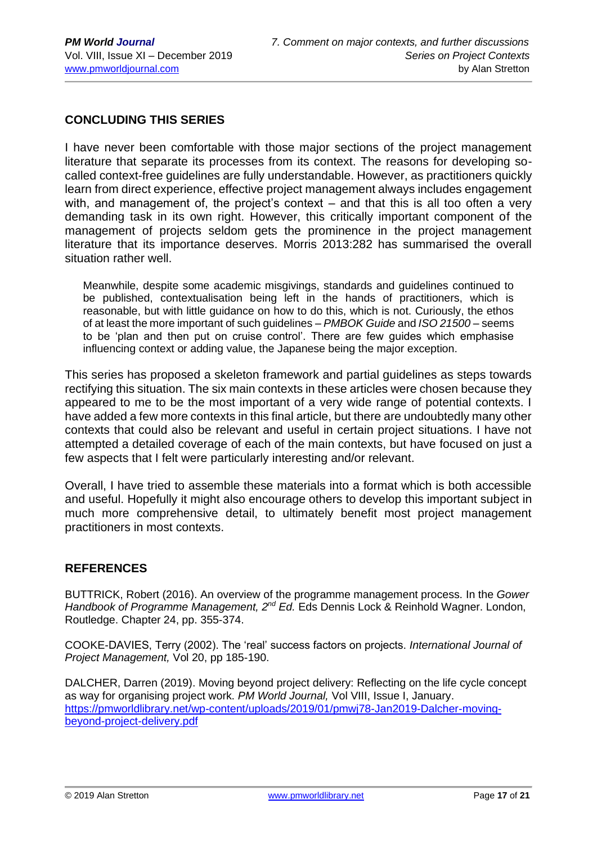## **CONCLUDING THIS SERIES**

I have never been comfortable with those major sections of the project management literature that separate its processes from its context. The reasons for developing socalled context-free guidelines are fully understandable. However, as practitioners quickly learn from direct experience, effective project management always includes engagement with, and management of, the project's context – and that this is all too often a very demanding task in its own right. However, this critically important component of the management of projects seldom gets the prominence in the project management literature that its importance deserves. Morris 2013:282 has summarised the overall situation rather well.

Meanwhile, despite some academic misgivings, standards and guidelines continued to be published, contextualisation being left in the hands of practitioners, which is reasonable, but with little guidance on how to do this, which is not. Curiously, the ethos of at least the more important of such guidelines – *PMBOK Guide* and *ISO 21500 –* seems to be 'plan and then put on cruise control'. There are few guides which emphasise influencing context or adding value, the Japanese being the major exception.

This series has proposed a skeleton framework and partial guidelines as steps towards rectifying this situation. The six main contexts in these articles were chosen because they appeared to me to be the most important of a very wide range of potential contexts. I have added a few more contexts in this final article, but there are undoubtedly many other contexts that could also be relevant and useful in certain project situations. I have not attempted a detailed coverage of each of the main contexts, but have focused on just a few aspects that I felt were particularly interesting and/or relevant.

Overall, I have tried to assemble these materials into a format which is both accessible and useful. Hopefully it might also encourage others to develop this important subject in much more comprehensive detail, to ultimately benefit most project management practitioners in most contexts.

#### **REFERENCES**

BUTTRICK, Robert (2016). An overview of the programme management process. In the *Gower Handbook of Programme Management, 2nd Ed.* Eds Dennis Lock & Reinhold Wagner. London, Routledge. Chapter 24, pp. 355-374.

COOKE-DAVIES, Terry (2002). The 'real' success factors on projects. *International Journal of Project Management,* Vol 20, pp 185-190.

DALCHER, Darren (2019). Moving beyond project delivery: Reflecting on the life cycle concept as way for organising project work. *PM World Journal,* Vol VIII, Issue I, January. [https://pmworldlibrary.net/wp-content/uploads/2019/01/pmwj78-Jan2019-Dalcher-moving](https://pmworldlibrary.net/wp-content/uploads/2019/01/pmwj78-Jan2019-Dalcher-moving-beyond-project-delivery.pdf)[beyond-project-delivery.pdf](https://pmworldlibrary.net/wp-content/uploads/2019/01/pmwj78-Jan2019-Dalcher-moving-beyond-project-delivery.pdf)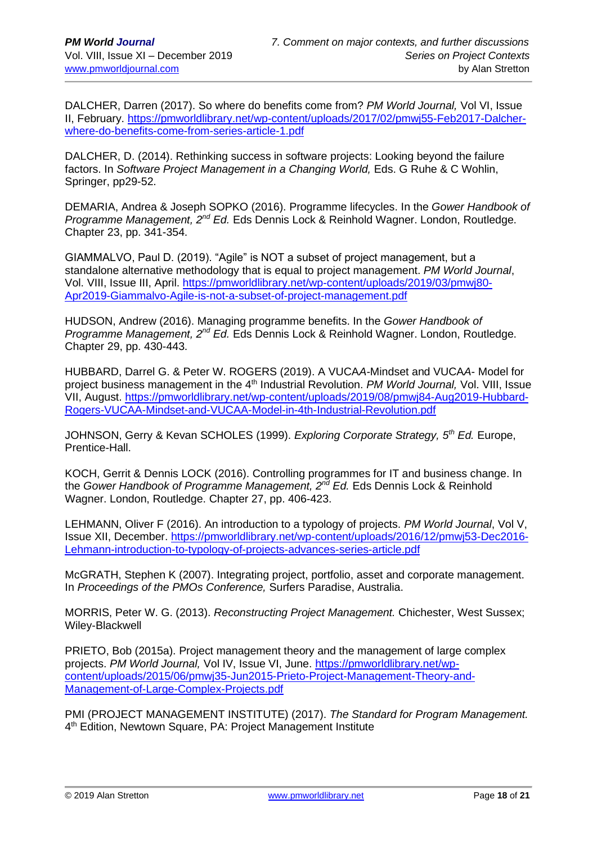DALCHER, Darren (2017). So where do benefits come from? *PM World Journal,* Vol VI, Issue II, February. [https://pmworldlibrary.net/wp-content/uploads/2017/02/pmwj55-Feb2017-Dalcher](https://pmworldlibrary.net/wp-content/uploads/2017/02/pmwj55-Feb2017-Dalcher-where-do-benefits-come-from-series-article-1.pdf)[where-do-benefits-come-from-series-article-1.pdf](https://pmworldlibrary.net/wp-content/uploads/2017/02/pmwj55-Feb2017-Dalcher-where-do-benefits-come-from-series-article-1.pdf)

DALCHER, D. (2014). Rethinking success in software projects: Looking beyond the failure factors. In *Software Project Management in a Changing World*, Eds. G Ruhe & C Wohlin, Springer, pp29-52.

DEMARIA, Andrea & Joseph SOPKO (2016). Programme lifecycles. In the *Gower Handbook of Programme Management, 2nd Ed.* Eds Dennis Lock & Reinhold Wagner. London, Routledge. Chapter 23, pp. 341-354.

GIAMMALVO, Paul D. (2019). "Agile" is NOT a subset of project management, but a standalone alternative methodology that is equal to project management. *PM World Journal*, Vol. VIII, Issue III, April. [https://pmworldlibrary.net/wp-content/uploads/2019/03/pmwj80-](https://pmworldlibrary.net/wp-content/uploads/2019/03/pmwj80-Apr2019-Giammalvo-Agile-is-not-a-subset-of-project-management.pdf) [Apr2019-Giammalvo-Agile-is-not-a-subset-of-project-management.pdf](https://pmworldlibrary.net/wp-content/uploads/2019/03/pmwj80-Apr2019-Giammalvo-Agile-is-not-a-subset-of-project-management.pdf)

HUDSON, Andrew (2016). Managing programme benefits. In the *Gower Handbook of Programme Management, 2nd Ed.* Eds Dennis Lock & Reinhold Wagner. London, Routledge. Chapter 29, pp. 430-443.

HUBBARD, Darrel G. & Peter W. ROGERS (2019). A VUCA*A-*Mindset and VUCA*A*- Model for project business management in the 4<sup>th</sup> Industrial Revolution. *PM World Journal*, Vol. VIII, Issue VII, August. [https://pmworldlibrary.net/wp-content/uploads/2019/08/pmwj84-Aug2019-Hubbard-](https://pmworldlibrary.net/wp-content/uploads/2019/08/pmwj84-Aug2019-Hubbard-Rogers-VUCAA-Mindset-and-VUCAA-Model-in-4th-Industrial-Revolution.pdf)[Rogers-VUCAA-Mindset-and-VUCAA-Model-in-4th-Industrial-Revolution.pdf](https://pmworldlibrary.net/wp-content/uploads/2019/08/pmwj84-Aug2019-Hubbard-Rogers-VUCAA-Mindset-and-VUCAA-Model-in-4th-Industrial-Revolution.pdf)

JOHNSON, Gerry & Kevan SCHOLES (1999). *Exploring Corporate Strategy, 5th Ed.* Europe, Prentice-Hall.

KOCH, Gerrit & Dennis LOCK (2016). Controlling programmes for IT and business change. In the *Gower Handbook of Programme Management, 2nd Ed.* Eds Dennis Lock & Reinhold Wagner. London, Routledge. Chapter 27, pp. 406-423.

LEHMANN, Oliver F (2016). An introduction to a typology of projects. *PM World Journal*, Vol V, Issue XII, December. [https://pmworldlibrary.net/wp-content/uploads/2016/12/pmwj53-Dec2016-](https://pmworldlibrary.net/wp-content/uploads/2016/12/pmwj53-Dec2016-Lehmann-introduction-to-typology-of-projects-advances-series-article.pdf) [Lehmann-introduction-to-typology-of-projects-advances-series-article.pdf](https://pmworldlibrary.net/wp-content/uploads/2016/12/pmwj53-Dec2016-Lehmann-introduction-to-typology-of-projects-advances-series-article.pdf)

McGRATH, Stephen K (2007). Integrating project, portfolio, asset and corporate management. In *Proceedings of the PMOs Conference,* Surfers Paradise, Australia.

MORRIS, Peter W. G. (2013). *Reconstructing Project Management.* Chichester, West Sussex; Wiley-Blackwell

PRIETO, Bob (2015a). Project management theory and the management of large complex projects. *PM World Journal,* Vol IV, Issue VI, June. [https://pmworldlibrary.net/wp](https://pmworldlibrary.net/wp-content/uploads/2015/06/pmwj35-Jun2015-Prieto-Project-Management-Theory-and-Management-of-Large-Complex-Projects.pdf)[content/uploads/2015/06/pmwj35-Jun2015-Prieto-Project-Management-Theory-and-](https://pmworldlibrary.net/wp-content/uploads/2015/06/pmwj35-Jun2015-Prieto-Project-Management-Theory-and-Management-of-Large-Complex-Projects.pdf)[Management-of-Large-Complex-Projects.pdf](https://pmworldlibrary.net/wp-content/uploads/2015/06/pmwj35-Jun2015-Prieto-Project-Management-Theory-and-Management-of-Large-Complex-Projects.pdf)

PMI (PROJECT MANAGEMENT INSTITUTE) (2017). *The Standard for Program Management.*  4<sup>th</sup> Edition, Newtown Square, PA: Project Management Institute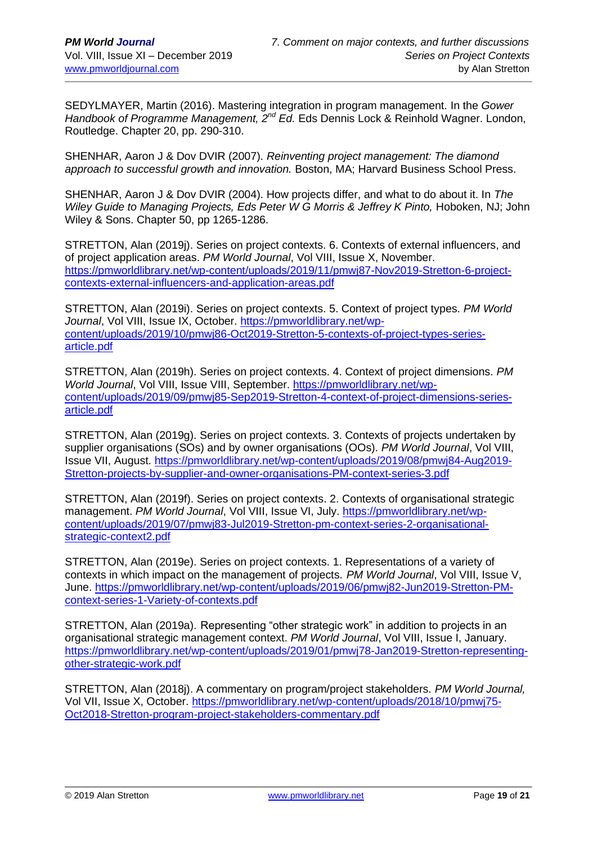SEDYLMAYER, Martin (2016). Mastering integration in program management. In the *Gower Handbook of Programme Management, 2nd Ed.* Eds Dennis Lock & Reinhold Wagner. London, Routledge. Chapter 20, pp. 290-310.

SHENHAR, Aaron J & Dov DVIR (2007). *Reinventing project management: The diamond approach to successful growth and innovation.* Boston, MA; Harvard Business School Press.

SHENHAR, Aaron J & Dov DVIR (2004). How projects differ, and what to do about it. In *The Wilev Guide to Managing Projects, Eds Peter W G Morris & Jeffrey K Pinto, Hoboken, NJ; John* Wiley & Sons. Chapter 50, pp 1265-1286.

STRETTON, Alan (2019j). Series on project contexts. 6. Contexts of external influencers, and of project application areas. *PM World Journal*, Vol VIII, Issue X, November. [https://pmworldlibrary.net/wp-content/uploads/2019/11/pmwj87-Nov2019-Stretton-6-project](https://pmworldlibrary.net/wp-content/uploads/2019/11/pmwj87-Nov2019-Stretton-6-project-contexts-external-influencers-and-application-areas.pdf)[contexts-external-influencers-and-application-areas.pdf](https://pmworldlibrary.net/wp-content/uploads/2019/11/pmwj87-Nov2019-Stretton-6-project-contexts-external-influencers-and-application-areas.pdf)

STRETTON, Alan (2019i). Series on project contexts. 5. Context of project types. *PM World Journal*, Vol VIII, Issue IX, October. [https://pmworldlibrary.net/wp](https://pmworldlibrary.net/wp-content/uploads/2019/10/pmwj86-Oct2019-Stretton-5-contexts-of-project-types-series-article.pdf)[content/uploads/2019/10/pmwj86-Oct2019-Stretton-5-contexts-of-project-types-series](https://pmworldlibrary.net/wp-content/uploads/2019/10/pmwj86-Oct2019-Stretton-5-contexts-of-project-types-series-article.pdf)[article.pdf](https://pmworldlibrary.net/wp-content/uploads/2019/10/pmwj86-Oct2019-Stretton-5-contexts-of-project-types-series-article.pdf)

STRETTON, Alan (2019h). Series on project contexts. 4. Context of project dimensions. *PM World Journal*, Vol VIII, Issue VIII, September. [https://pmworldlibrary.net/wp](https://pmworldlibrary.net/wp-content/uploads/2019/09/pmwj85-Sep2019-Stretton-4-context-of-project-dimensions-series-article.pdf)[content/uploads/2019/09/pmwj85-Sep2019-Stretton-4-context-of-project-dimensions-series](https://pmworldlibrary.net/wp-content/uploads/2019/09/pmwj85-Sep2019-Stretton-4-context-of-project-dimensions-series-article.pdf)[article.pdf](https://pmworldlibrary.net/wp-content/uploads/2019/09/pmwj85-Sep2019-Stretton-4-context-of-project-dimensions-series-article.pdf)

STRETTON, Alan (2019g). Series on project contexts. 3. Contexts of projects undertaken by supplier organisations (SOs) and by owner organisations (OOs). *PM World Journal*, Vol VIII, Issue VII, August. [https://pmworldlibrary.net/wp-content/uploads/2019/08/pmwj84-Aug2019-](https://pmworldlibrary.net/wp-content/uploads/2019/08/pmwj84-Aug2019-Stretton-projects-by-supplier-and-owner-organisations-PM-context-series-3.pdf) [Stretton-projects-by-supplier-and-owner-organisations-PM-context-series-3.pdf](https://pmworldlibrary.net/wp-content/uploads/2019/08/pmwj84-Aug2019-Stretton-projects-by-supplier-and-owner-organisations-PM-context-series-3.pdf)

STRETTON, Alan (2019f). Series on project contexts. 2. Contexts of organisational strategic management. *PM World Journal*, Vol VIII, Issue VI, July. [https://pmworldlibrary.net/wp](https://pmworldlibrary.net/wp-content/uploads/2019/07/pmwj83-Jul2019-Stretton-pm-context-series-2-organisational-strategic-context2.pdf)[content/uploads/2019/07/pmwj83-Jul2019-Stretton-pm-context-series-2-organisational](https://pmworldlibrary.net/wp-content/uploads/2019/07/pmwj83-Jul2019-Stretton-pm-context-series-2-organisational-strategic-context2.pdf)[strategic-context2.pdf](https://pmworldlibrary.net/wp-content/uploads/2019/07/pmwj83-Jul2019-Stretton-pm-context-series-2-organisational-strategic-context2.pdf)

STRETTON, Alan (2019e). Series on project contexts. 1. Representations of a variety of contexts in which impact on the management of projects. *PM World Journal*, Vol VIII, Issue V, June. [https://pmworldlibrary.net/wp-content/uploads/2019/06/pmwj82-Jun2019-Stretton-PM](https://pmworldlibrary.net/wp-content/uploads/2019/06/pmwj82-Jun2019-Stretton-PM-context-series-1-Variety-of-contexts.pdf)[context-series-1-Variety-of-contexts.pdf](https://pmworldlibrary.net/wp-content/uploads/2019/06/pmwj82-Jun2019-Stretton-PM-context-series-1-Variety-of-contexts.pdf)

STRETTON, Alan (2019a). Representing "other strategic work" in addition to projects in an organisational strategic management context. *PM World Journal*, Vol VIII, Issue I, January. [https://pmworldlibrary.net/wp-content/uploads/2019/01/pmwj78-Jan2019-Stretton-representing](https://pmworldlibrary.net/wp-content/uploads/2019/01/pmwj78-Jan2019-Stretton-representing-other-strategic-work.pdf)[other-strategic-work.pdf](https://pmworldlibrary.net/wp-content/uploads/2019/01/pmwj78-Jan2019-Stretton-representing-other-strategic-work.pdf)

STRETTON, Alan (2018j). A commentary on program/project stakeholders. *PM World Journal,*  Vol VII, Issue X, October. [https://pmworldlibrary.net/wp-content/uploads/2018/10/pmwj75-](https://pmworldlibrary.net/wp-content/uploads/2018/10/pmwj75-Oct2018-Stretton-program-project-stakeholders-commentary.pdf) [Oct2018-Stretton-program-project-stakeholders-commentary.pdf](https://pmworldlibrary.net/wp-content/uploads/2018/10/pmwj75-Oct2018-Stretton-program-project-stakeholders-commentary.pdf)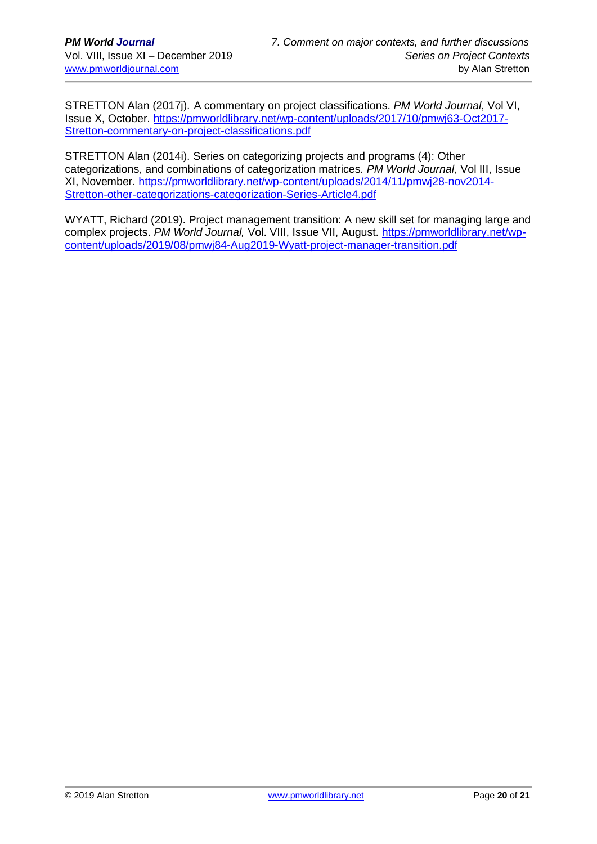STRETTON Alan (2017j). A commentary on project classifications. *PM World Journal*, Vol VI, Issue X, October. [https://pmworldlibrary.net/wp-content/uploads/2017/10/pmwj63-Oct2017-](https://pmworldlibrary.net/wp-content/uploads/2017/10/pmwj63-Oct2017-Stretton-commentary-on-project-classifications.pdf) [Stretton-commentary-on-project-classifications.pdf](https://pmworldlibrary.net/wp-content/uploads/2017/10/pmwj63-Oct2017-Stretton-commentary-on-project-classifications.pdf)

STRETTON Alan (2014i). Series on categorizing projects and programs (4): Other categorizations, and combinations of categorization matrices. *PM World Journal*, Vol III, Issue XI, November. [https://pmworldlibrary.net/wp-content/uploads/2014/11/pmwj28-nov2014-](https://pmworldlibrary.net/wp-content/uploads/2014/11/pmwj28-nov2014-Stretton-other-categorizations-categorization-Series-Article4.pdf) [Stretton-other-categorizations-categorization-Series-Article4.pdf](https://pmworldlibrary.net/wp-content/uploads/2014/11/pmwj28-nov2014-Stretton-other-categorizations-categorization-Series-Article4.pdf)

WYATT, Richard (2019). Project management transition: A new skill set for managing large and complex projects. *PM World Journal,* Vol. VIII, Issue VII, August. [https://pmworldlibrary.net/wp](https://pmworldlibrary.net/wp-content/uploads/2019/08/pmwj84-Aug2019-Wyatt-project-manager-transition.pdf)[content/uploads/2019/08/pmwj84-Aug2019-Wyatt-project-manager-transition.pdf](https://pmworldlibrary.net/wp-content/uploads/2019/08/pmwj84-Aug2019-Wyatt-project-manager-transition.pdf)